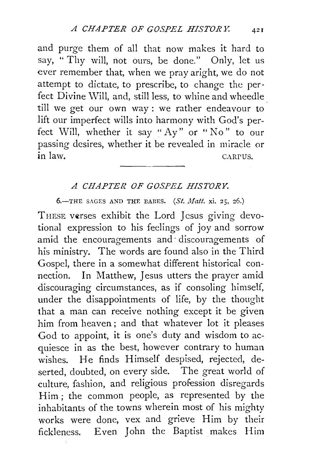and purge them of all that now makes it hard to say, " Thy will, not ours, be done." Only, let us ever remember that, when we pray aright, we do not attempt to dictate, to prescribe, to change the perfect Divine Will, and, still less, to whine and wheedle till we get our own way : we rather endeavour to lift our imperfect wills into harmony with God's perfect Will, whether it say "Ay" or "No" to our passing desires, whether it be revealed in miracle or<br>in law in law. CARPUS.

## *A CHAPTER OF GOSPEL HISTORY.*

 $6$ -THE SAGES AND THE BABES. (St. Matt. xi. 25, 26.)

THESE verses exhibit the Lord Jesus giving devotional expression to his feelings of joy and sorrow amid the encouragements and discouragements of his ministry. The words are found also in the Third Gospel, there in a somewhat different historical connection. In Matthew, Jesus utters the prayer amid discouraging circumstances, as if consoling himself, under the disappointments of life, by the thought that a man can receive nothing except it be given him from heaven ; and that whatever lot it pleases God to appoint, it is one's duty and wisdom to acquiesce in as the best, however contrary to human wishes. He finds Himself despised, rejected, deserted, doubted, on every side. The great world of culture, fashion, and religious profession disregards Him ; the common people, as represented by the inhabitants of the towns wherein most of his mighty works were done, vex and grieve Him by their fickleness. Even John the Baptist makes Him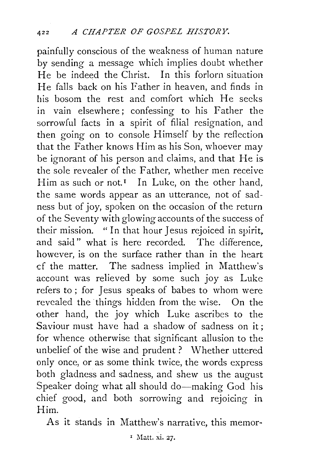painfully conscious of the weakness of human nature by sending a message which implies doubt whether He be indeed the Christ. In this forlorn situation He falls back on his Father in heaven, and finds in his bosom the rest and comfort which He seeks in vain elsewhere; confessing to his Father the sorrowful facts in a spirit of filial resignation, and then going on to console Himself by the reflection that the Father knows Him as his Son, whoever may be ignorant of his person and claims, and that He is the sole revealer of the Father, whether men receive Him as such or not.<sup> $I$ </sup> In Luke, on the other hand, the same words appear as an utterance, not of sadness but of joy, spoken on the occasion of the return of the Seventy with glowing accounts of the success of their mission. "In that hour Jesus rejoiced in spirit, and said" what is here recorded. The difference, however, is on the surface rather than in the heart d the matter. The sadness implied in Matthew's account was relieved by some such joy as Luke refers to ; for Jesus speaks of babes to whom were revealed the things hidden from the wise. On the other hand, the joy which Luke ascribes to the Saviour must have had a shadow of sadness on it: for whence otherwise that significant allusion to the unbelief of the wise and prudent ? Whether uttered only once, or as some think twice, the words express both gladness and sadness, and shew us the august Speaker doing what all should do-making God his chief good, and both sorrowing and rejoicing in Him.

As it stands in Matthew's narrative, this memor-

1 Matt. xi. 27.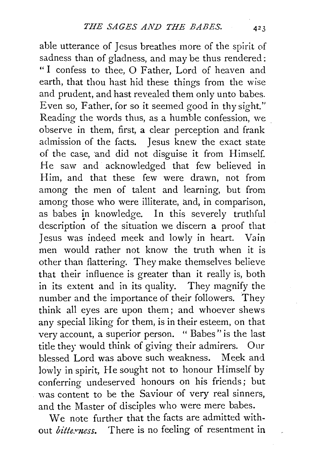able utterance of Jesus breathes more of the spirit of sadness than of gladness, and may be thus rendered: "I confess to thee, 0 Father, Lord of heaven and earth, that thou hast hid these things from the wise and prudent, and hast revealed them only unto babes. Even so, Father, for so it seemed good in thy sight." Reading the words thus, as a humble confession, we observe in them, first, a clear perception and frank admission of the facts. Jesus knew the exact state of the case, and did not disguise it from Himself. He saw and acknowledged that few believed in Him, and that these few were drawn, not from among the men of talent and learning, but from among those who were illiterate, and, in comparison, as babes in knowledge. In this severely truthful description of the situation we discern a proof that Jesus was indeed meek and lowly in heart. Vain men would rather not know the truth when it is other than flattering. They make themselves believe that their influence is greater than it really is, both in its extent and in its quality. They magnify the number and the importance of their followers. They think all eyes are upon them; and whoever shews any special liking for them, is in their esteem, on that very account, a superior person. " Babes" is the last title they would think of giving their admirers. Our blessed Lord was above such weakness. Meek and lowly in spirit, He sought not to honour Himself by conferring undeserved honours on his friends; but was content to be the Saviour of very real sinners, and the Master of disciples who were mere babes.

We note further that the facts are admitted without *bitte.vness.* There is no feeling of resentment in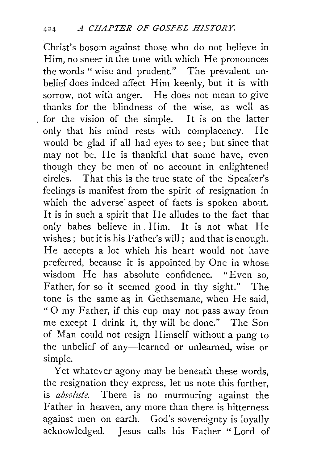Christ's bosom against those who do not believe in Him, no sneer in the tone with which He pronounces the words "wise and prudent." The prevalent unbelicf does indeed affect Him keenly, but it is with sorrow, not with anger. He does not mean to give thanks for the blindness of the wise, as well as for the vision of the simple. It is on the latter only that his mind rests with complacency. He would be glad if all had eyes to see ; but since that may not be, He is thankful that some have, even though they be men of no account in enlightened circles. That this is the true state of the Speaker's feelings is manifest from the spirit of resignation in which the adverse aspect of facts is spoken about. It is in such a spirit that He alludes to the fact that only babes believe in. Him. It is not what He wishes; but it is his Father's will; and that is enough. He accepts a lot which his heart would not have preferred, because it is appointed by One in whose wisdom He has absolute confidence. "Even so, Father, for so it seemed good in thy sight." The tone is the same as in Gethsemane, when He said, "0 my Father, if this cup may not pass away from me except I drink it, thy will be done." The Son of Man could not resign Himself without a pang to the unbelief of any-learned or unlearned, wise or simple.

Yet whatever agony may be beneath these words, the resignation they express, let us note this further, is *absolute.* There is no murmuring against the Father in heaven, any more than there is bitterness against men on earth. God's sovereignty is loyally acknowledged. Jesus calls his Father "Lord of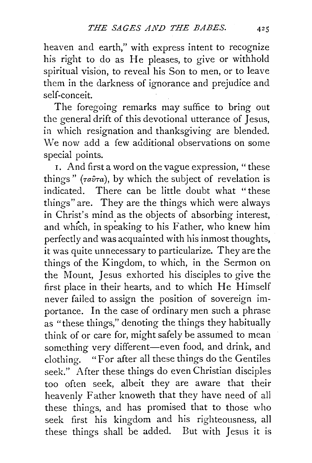heaven and earth," with express intent to recognize his right to do as He pleases, to give or withhold spiritual vision, to reveal his Son to men, or to leave them in the darkness of ignorance and prejudice and self-conceit.

The foregoing remarks may suffice to bring out the general drift of this devotional utterance of Jesus, in which resignation and thanksgiving are blended. We now add a few additional observations on some special points.

1. And first a word on the vague expression, " these things" ( $\tau a\hat{v}\tau a$ ), by which the subject of revelation is indicated. There can be little doubt what "these things" are. They are the things which were always in Christ's mind as the objects of absorbing interest, and which, in speaking to his Father, who knew him perfectly and was acquainted with his inmost thoughts, it was quite unnecessary to particularize. They are the things of the Kingdom, to which, in the Sermon on the Mount, *1* esus exhorted his disciples to give the first place in their hearts, and to which He Himself never failed to assign the position of sovereign importance. In the case of ordinary men such a phrase as "these things," denoting the things they habitually think of or care for, might safely be assumed to mean something very different-even food, and drink, and clothing. "For after all these things do the Gentiles seek." After these things do even Christian disciples too often seek, albeit they are aware that their heavenly Father knoweth that they have need of all these things, and has promised that to those who seek first his kingdom and his righteousness, all these things shall be added. But with *1* esus it is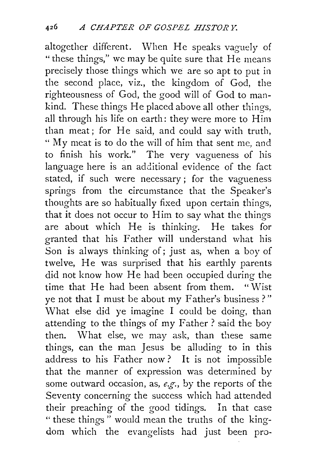altogether different. When He speaks vaguely of "these things," we may be quite sure that He means precisely those things which we are so apt to put in the second place, viz., the kingdom of God, the righteousness of God, the good will of God to mankind. These things He placed above all other things, all through his life on earth: they were more to Him than meat; for He said, and could say with truth, "My meat is to do the will of him that sent me, and to finish his work." The very vagueness of his language here is an additional evidence of the fact stated, if such were necessary ; for the vagueness springs from the circumstance that the Speaker's thoughts are so habitually fixed upon certain things, that it does not occur to Him to say what the things are about which He is thinking. He takes for granted that his Father will understand what his Son is always thinking of; just as, when a boy of twelve, He was surprised that his earthly parents did not know how He had been occupied during the time that He had been absent from them. "Wist ye not that I must be about my Father's business?" What else did ye imagine I could be doing, than attending to the things of my Father? said the boy then. What else, we may ask, than these same things, can the man Jesus be alluding to in this address to his Father now? It is not impossible that the manner of expression was determined by some outward occasion, as, *e.g.,* by the reports of the Seventy concerning the success which had attended their preaching of the good tidings. In that case " these things " would mean the truths of the kingdom which the evangelists had just been pro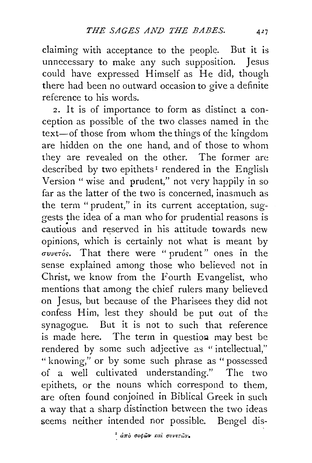claiming with acceptance to the people. But it is unnecessary to make any such supposition. Jesus could have expressed Himself as He did, though there had been no outward occasion to give a definite reference to his words.

2. It is of importance to form as distinct a conception as possible of the two classes named in the text-of those from whom the things of the kingdom are hidden on the one hand, and of those to whom they are revealed on the other. The former are described by two epithets<sup>1</sup> rendered in the English Version " wise and prudent," not very happily in so far as the latter of the two is concerned, inasmuch as the term "prudent," in its current acceptation, suggests the idea of a man who for prudential reasons is cautious and reserved in his attitude towards new opinions, which is certainly not what is meant by *(ruveToc;.* That there were " prudent" ones in the sense explained among those who believed not in Christ, we know from the Fourth Evangelist, who mentions that among the chief rulers many believed on Jesus, but because of the Pharisees they did not confess Him, lest they should be put out of the synagogue. But it is not to such that reference is made here. The term in question may best be rendered by some such adjective as "intellectual," " knowing," or by some such phrase as " possessed of a well cultivated understanding." The two epithets, or the nouns which correspond to them, are often found conjoined in Biblical Greek in such a way that a sharp distinction between the two ideas seems neither intended nor possible. Bengel dis-

<sup>1</sup> άπο σοφών και συνετών.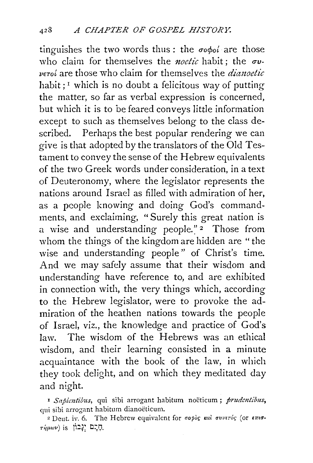tinguishes the two words thus: the  $\sigma \phi_0 i$  are those who claim for themselves the *noetic* habit; the  $\sigma v$ -*VETot* are those who claim for themselves the *dimzoetic*  habit;  $\frac{1}{x}$  which is no doubt a felicitous way of putting the matter, so far as verbal expression is concerned, but which it is to be feared conveys little information except to such as themselves belong to the class described. Perhaps the best popular rendering we can give is that adopted by the translators of the Old Testament to convey the sense of the Hebrew equivalents of the two Greek words under consideration, in a text of Deuteronomy, where the legislator represents the nations around Israel as filled with admiration of her, as a people knowing and doing God's commandments, and exclaiming, "Surely this great nation is a wise and understanding people."<sup>2</sup> Those from whom the things of the kingdom are hidden are "the wise and understanding people" of Christ's time. And we may safely assume that their wisdom and understanding have reference to, and are exhibited in connection with, the very things which, according to the Hebrew legislator, were to provoke the admiration of the heathen nations towards the people of Israel, viz., the knowledge and practice of God's law. The wisdom of the Hebrews was an ethical wisdom, and their learning consisted in a minute acquaintance with the book of the law, in which they took delight, and on which they meditated day and night.

<sup>1</sup> Sapientibus, qui sibi arrogant habitum noëticum; prudentibus, qui sibi arrogant habitum dianoeticum.

<sup>2</sup> Deut. iv. 6. The Hebrew equivalent for  $\sigma$ opog *kal*  $\sigma$ *vveróg* (or  $\epsilon \pi \sigma$ -**Ti}fl(l)v) is** ji:~: D~Q.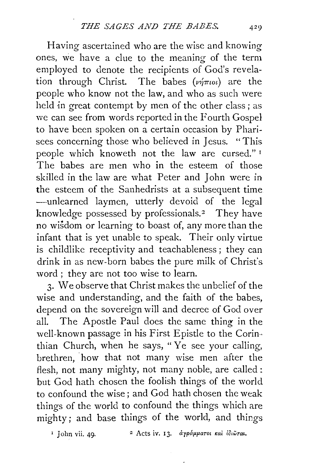Having ascertained who are the wise and knowing ones, we have a clue to the meaning of the term employed to denote the recipients of God's revelation through Christ. The babes  $(\nu \hat{\eta} \pi \omega)$  are the people who know not the law, and who as such were held in great contempt by men of the other class; as we can see from words reported in the Fourth Gospel to have been spoken on a certain occasion by Pharisees concerning those who believed in Jesus. "This people which knoweth not the law are cursed." <sup>I</sup> The babes are men who in the esteem of those skilled in the law are what Peter and John were in the esteem of the Sanhedrists at a subsequent time -unlearned laymen, utterly devoid of the legal knowledge possessed by professionals.<sup>2</sup> They have no wisdom or learning to boast of, any more than the infant that is yet unable to speak. Their only virtue is childlike receptivity and teachableness ; they can drink in as new-born babes the pure milk of Christ's word ; they are not too wise to learn.

3· We observe that Christ makes the unbelief of the wise and understanding, and the faith of the babes, depend on the sovereign will and decree of God over all. The Apostle Paul does the same thing in the well-known passage in his First Epistle to the Corin·· thian Church, when he says, " Ye see your calling, brethren, how that not many wise men after the flesh, not many mighty, not many noble, are called: but God hath chosen the foolish things of the world to confound the wise ; and God hath chosen the weak things of the world to confound the things which are mighty; and base things of the world, and things

<sup>1</sup> John vii. 49. <sup>2</sup> Acts iv. 13. αγράμματοι και ίδιωται.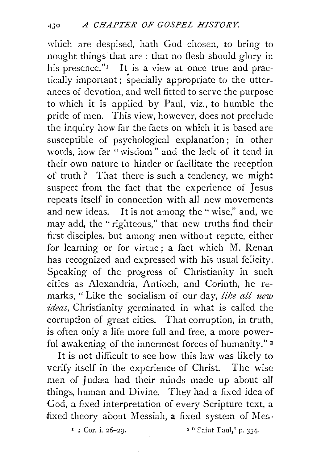which are despised, hath God chosen, to bring to nought things that are : that no flesh should glory in his presence."<sup>I</sup> It is a view at once true and practically important; specially appropriate to the utterances of devotion, and well fitted to serve the purpose to which it is applied by Paul, viz., to humble the pride of men. This view, however, does not preclude the inquiry how far the facts on which it is based are susceptible of psychological explanation ; in other words, how far "wisdom" and the lack of it tend in their own nature to hinder or facilitate the reception of truth? That there is such a tendency, we might suspect from the fact that the experience of Jesus repeats itself in connection with all new movements and new ideas. It is not among the " wise," and, we may add, the "righteous," that new truths find their first disciples. but among men without repute, either for learning or for virtue; a fact which M. Renan has recognized and expressed with his usual felicity. Speaking of the progress of Christianity in such cities as Alexandria, Antioch, and Corinth, he remarks, "Like the socialism of our day, *like all new ideas,* Christianity germinated in what is called the corruption of great cities. That corruption, in truth, is often only a life more full and free, a more powerful awakening of the innermost forces of humanity."<sup>2</sup>

It is not difficult to see how this law was likely to verify itself in the experience of Christ. The wise men of Judæa had their minds made up about all things, human and Divine. They had a fixed idea of God, a fixed interpretation of every Scripture text, a fixed theory about Messiah, a fixed system of Mes-

 $1 \text{ I}$  Cor. i. 26-29.  $2 \text{ }$   $2 \text{ }$   $\text{ }$   $2 \text{ }$   $\text{ }$   $\text{ }$   $\text{ }$   $\text{ }$   $\text{ }$   $\text{ }$   $\text{ }$   $\text{ }$   $\text{ }$   $\text{ }$   $\text{ }$   $\text{ }$   $\text{ }$   $\text{ }$   $\text{ }$   $\text{ }$   $\text{ }$   $\text{ }$   $\text{ }$   $\text{ }$   $\text{ }$   $\text{ }$   $\text{ }$   $\text{ }$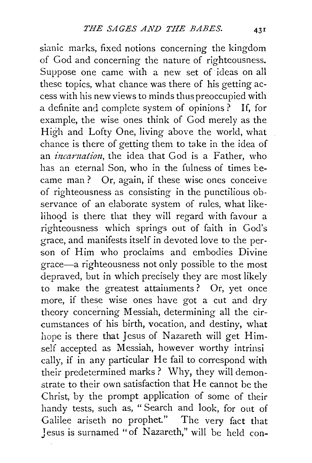sianic marks, fixed notions concerning the kingdom of God and concerning the nature of righteousness. Suppose one came with a new set of· ideas on all these topics, what chance was there of his getting access with his new views to minds thus preoccupied with a definite and complete system of opinions? If, for example, the wise ones think of God merely as the High and Lofty One, living above the world, what chance is there of getting them to take in the idea of an *incarnation*, the idea that God is a Father, who has an eternal Son, who in the fulness of times became man ? Or, again, if these wise ones conceive of righteousness as consisting in the punctilious observance of an elaborate system of rules, what likelihood is there that they will regard with favour a righteousness which springs out of faith in God's grace, and manifests itself in devoted love to the person of Him who proclaims and embodies Divine grace-a righteousness not only possible to the most depraved, but in which precisely they are most likely to make the greatest attainments ? Or, yet once more, if these wise ones have got a cut and dry theory concerning Messiah, determining all the circumstances of his birth, vocation, and destiny, what hope is there that Jesus of Nazareth will get Himself accepted as Messiah, however worthy intrinsi cally, if in any particular He fail to correspond with their predetermined marks? Why, they will demonstrate to their own satisfaction that He cannot be the Christ, by the prompt application of some of their handy tests, such as, " Search and look, for out of Galilee ariseth no prophet." The very fact that Jesus is surnamed "of Nazareth," will be held con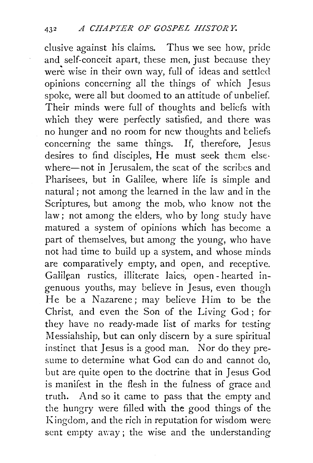elusive against his claims. Thus we see how, pride and self-conceit apart, these men, just because they were wise in their own way, full of ideas and settled opinions concerning all the things of which Jesus spoke, were all but doomed to an attitude of unbelief. Their minds were full of thoughts and beliefs with which they were perfectly satisfied, and there was no hunger and no room for new thoughts and teliefs concerning the same things. If, therefore, Jesus desires to find disciples, He must seek them else· where-not in Jerusalem, the seat of the scribes and Pharisees, but in Galilee, where life is simple and natural; not among the learned in the law and in the Scriptures, but among the mob, who know not the law; not among the elders, who by long study have matured a system of opinions which has become a part of themselves, but among the young, who have not had time to build up a system, and whose minds are comparatively empty, and open, and receptive. Galilean rustics, illiterate laics, open- hearted ingenuous youths, may believe in Jesus, even though He be a Nazarene; may believe Him to be the Christ, and even the Son of the Living God; for they have no ready-made list of marks for testing Messiahship, but can only discern by a sure spiritual instinct that Jesus is a good man. Nor do they presume to determine what God can do and cannot do, but are quite open to the doctrine that in Jesus God is manifest in the flesh in the fulness of grace and truth. And so it came to pass that the empty and the hungry were filled with the good things of the Kingdom, and the rich in reputation for wisdom were sent empty away; the wise and the understanding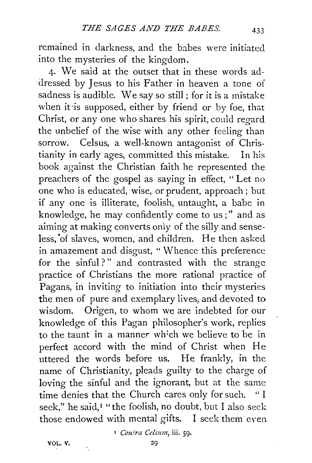remained in darkness, and the babes were initiated into the mysteries of the kingdom.

4· We said at the outset that in these words addressed by Jesus to his Father in heaven a tone of sadness is audible. We say so still ; for it is a mistake when it is supposed, either by friend or by foe, that Christ, or any one who shares his spirit, could regard the unbelief of the wise with any other feeling than sorrow. Celsus, a well-known antagonist of Christianity in early ages, committed this mistake. In his book against the Christian faith he represented the preachers of the gospel as saying in effect, " Let no one who is educated, wise, or prudent, approach ; but if any one is illiterate, foolish, untaught, a babe in knowledge, he may confidently come to us;" and as aiming at making converts only of the silly and senseless, of slaves, women, and children. He then asked in amazement and disgust, " Whence this preference for the sinful?" and contrasted with the strange practice of Christians the more rational practice of Pagans, in inviting to initiation into their mysteries the men of pure and exemplary lives, and devoted to wisdom. Origen, to whom we are indebted for our knowledge of this Pagan philosopher's work, replies to the taunt in a manner wh:ch we believe to be in perfect accord with the mind of Christ when He uttered the words before us. He frankly, in the name of Christianity, pleads guilty to the charge of loving the sinful and the ignorant, but at the same time denies that the Church cares only for such. " I seek," he said,<sup>I</sup> "the foolish, no doubt, but I also seek those endowed with mental gifts. I seek them even

<sup>1</sup> Conira Celsum, iii. 59.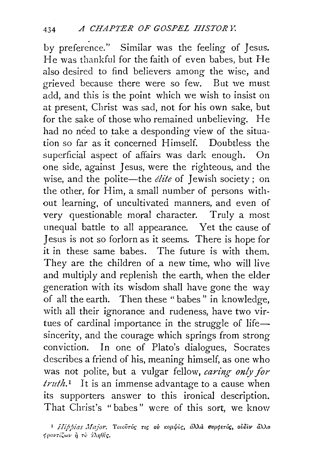by preference." Similar was the feeling of Jesus. He was thankful for the faith of even babes, but He also desired to find believers among the wise, and grieved because there were so few. But we must add, and this is the point which we wish to insist on at present, Christ was sad, not for his own sake, but for the sake of those who remained unbelieving. He had no need to take a desponding view of the situation so far as it concerned Himself. Doubtless the superficial aspect of affairs was dark enough. On one side, against Jesus, were the righteous, and the wise, and the polite-the *elite* of Jewish society ; on the other, for Him, a small number of persons without learning, of uncultivated manners, and even of very questionable moral character. Truly a most unequal battle to all appearance. Yet the cause of Jesus is not so forlorn as it seems. There is hope for it in these same babes. The future is with them. They are the children of a new time, who will live and multiply and replenish the earth, when the elder generation with its wisdom shall have gone the way of all the earth. Then these " babes" in knowledge, with all their ignorance and rudeness, have two virtues of cardinal importance in the struggle of lifesincerity, and the courage which springs from strong conviction. In one of Plato's dialogues, Socrates describes a friend of his, meaning himself, as one who was not polite, but a vulgar fellow, *caring only for truth.* 1 It is an immense advantage to a cause when its supporters answer to this ironical description. That Christ's "babes" were of this sort, we know

<sup>&</sup>lt;sup>1</sup> *ilippias Major*. Towovróg τις ού κομψος, άλλά συρφετός, ούδεν άλλο  $\phi$ ροντίζων ή το *iληθές*.